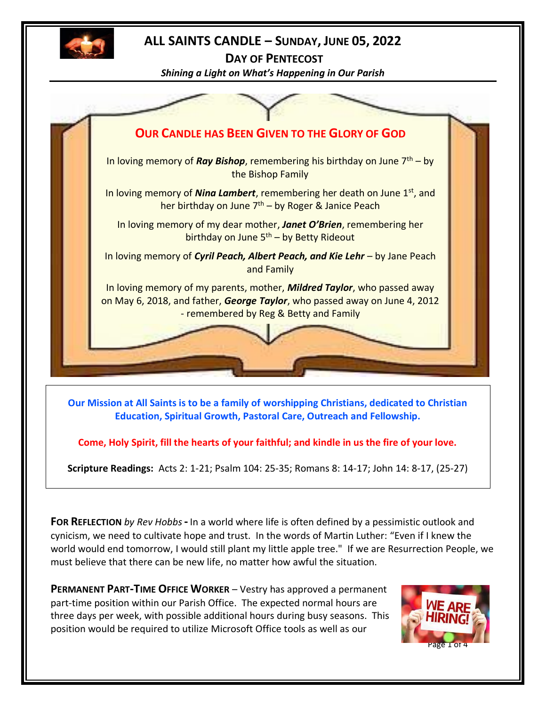

## **ALL SAINTS CANDLE – SUNDAY, JUNE 05, 2022**

**DAY OF PENTECOST** *Shining a Light on What's Happening in Our Parish*



**Our Mission at All Saints is to be a family of worshipping Christians, dedicated to Christian Education, Spiritual Growth, Pastoral Care, Outreach and Fellowship.**

**Come, Holy Spirit, fill the hearts of your faithful; and kindle in us the fire of your love.**

**Scripture Readings:** Acts 2: 1-21; Psalm 104: 25-35; Romans 8: 14-17; John 14: 8-17, (25-27)

**FOR REFLECTION** *by Rev Hobbs***-** In a world where life is often defined by a pessimistic outlook and cynicism, we need to cultivate hope and trust. In the words of Martin Luther: "Even if I knew the world would end tomorrow, I would still plant my little apple tree." If we are Resurrection People, we must believe that there can be new life, no matter how awful the situation.

**PERMANENT PART-TIME OFFICE WORKER** – Vestry has approved a permanent part-time position within our Parish Office. The expected normal hours are three days per week, with possible additional hours during busy seasons. This position would be required to utilize Microsoft Office tools as well as our

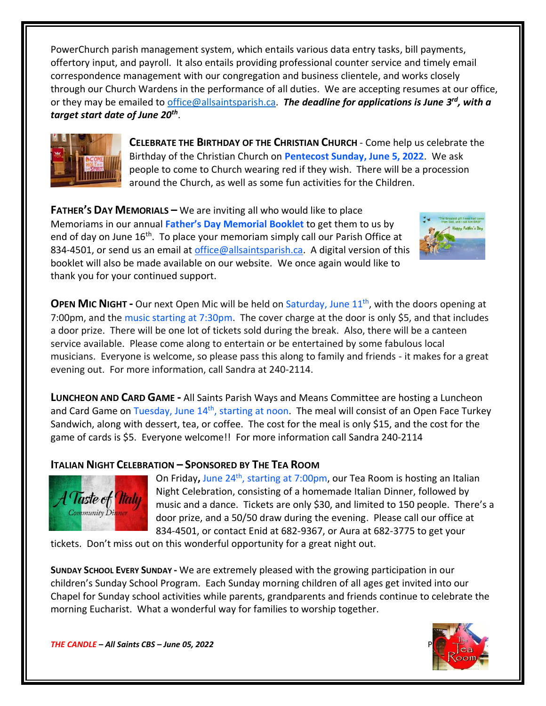PowerChurch parish management system, which entails various data entry tasks, bill payments, offertory input, and payroll. It also entails providing professional counter service and timely email correspondence management with our congregation and business clientele, and works closely through our Church Wardens in the performance of all duties. We are accepting resumes at our office, or they may be emailed to *office@allsaintsparish.ca</u>. The deadline for applications is June 3<sup>rd</sup>, with a target start date of June 20th* .



**CELEBRATE THE BIRTHDAY OF THE CHRISTIAN CHURCH** - Come help us celebrate the Birthday of the Christian Church on **Pentecost Sunday, June 5, 2022**. We ask people to come to Church wearing red if they wish. There will be a procession around the Church, as well as some fun activities for the Children.

**FATHER'S DAY MEMORIALS –** We are inviting all who would like to place Memoriams in our annual **Father's Day Memorial Booklet** to get them to us by end of day on June 16<sup>th</sup>. To place your memoriam simply call our Parish Office at 834-4501, or send us an email at [office@allsaintsparish.ca.](mailto:office@allsaintsparish.ca) A digital version of this booklet will also be made available on our website. We once again would like to thank you for your continued support.



**OPEN MIC NIGHT** - Our next Open Mic will be held on Saturday, June 11<sup>th</sup>, with the doors opening at 7:00pm, and the music starting at 7:30pm. The cover charge at the door is only \$5, and that includes a door prize. There will be one lot of tickets sold during the break. Also, there will be a canteen service available. Please come along to entertain or be entertained by some fabulous local musicians. Everyone is welcome, so please pass this along to family and friends - it makes for a great evening out. For more information, call Sandra at 240-2114.

**LUNCHEON AND CARD GAME -** All Saints Parish Ways and Means Committee are hosting a Luncheon and Card Game on Tuesday, June 14<sup>th</sup>, starting at noon. The meal will consist of an Open Face Turkey Sandwich, along with dessert, tea, or coffee. The cost for the meal is only \$15, and the cost for the game of cards is \$5. Everyone welcome!! For more information call Sandra 240-2114

## **ITALIAN NIGHT CELEBRATION – SPONSORED BY THE TEA ROOM**



On Friday, June 24<sup>th</sup>, starting at 7:00pm, our Tea Room is hosting an Italian Night Celebration, consisting of a homemade Italian Dinner, followed by music and a dance. Tickets are only \$30, and limited to 150 people. There's a door prize, and a 50/50 draw during the evening. Please call our office at 834-4501, or contact Enid at 682-9367, or Aura at 682-3775 to get your

tickets. Don't miss out on this wonderful opportunity for a great night out.

**SUNDAY SCHOOL EVERY SUNDAY -** We are extremely pleased with the growing participation in our children's Sunday School Program. Each Sunday morning children of all ages get invited into our Chapel for Sunday school activities while parents, grandparents and friends continue to celebrate the morning Eucharist. What a wonderful way for families to worship together.



*THE CANDLE* – All Saints CBS – June 05, 2022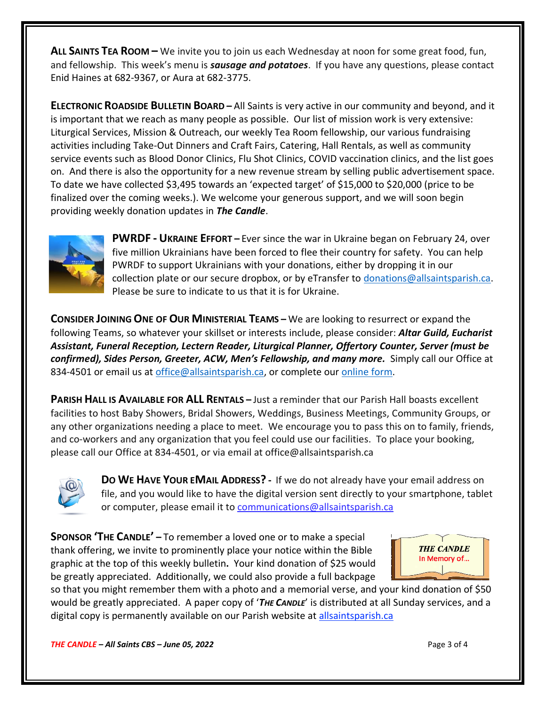**ALL SAINTS TEA ROOM –** We invite you to join us each Wednesday at noon for some great food, fun, and fellowship. This week's menu is *sausage and potatoes*. If you have any questions, please contact Enid Haines at 682-9367, or Aura at 682-3775.

**ELECTRONIC ROADSIDE BULLETIN BOARD –** All Saints is very active in our community and beyond, and it is important that we reach as many people as possible. Our list of mission work is very extensive: Liturgical Services, Mission & Outreach, our weekly Tea Room fellowship, our various fundraising activities including Take-Out Dinners and Craft Fairs, Catering, Hall Rentals, as well as community service events such as Blood Donor Clinics, Flu Shot Clinics, COVID vaccination clinics, and the list goes on. And there is also the opportunity for a new revenue stream by selling public advertisement space. To date we have collected \$3,495 towards an 'expected target' of \$15,000 to \$20,000 (price to be finalized over the coming weeks.). We welcome your generous support, and we will soon begin providing weekly donation updates in *The Candle*.



**PWRDF - UKRAINE EFFORT –** Ever since the war in Ukraine began on February 24, over five million Ukrainians have been forced to flee their country for safety. You can help PWRDF to support Ukrainians with your donations, either by dropping it in our collection plate or our secure dropbox, or by eTransfer to [donations@allsaintsparish.ca.](mailto:donations@allsaintsparish.ca) Please be sure to indicate to us that it is for Ukraine.

**CONSIDER JOINING ONE OF OUR MINISTERIAL TEAMS –** We are looking to resurrect or expand the following Teams, so whatever your skillset or interests include, please consider: *Altar Guild, Eucharist Assistant, Funeral Reception, Lectern Reader, Liturgical Planner, Offertory Counter, Server (must be confirmed), Sides Person, Greeter, ACW, Men's Fellowship, and many more.* Simply call our Office at 834-4501 or email us at [office@allsaintsparish.ca,](mailto:office@allsaintsparish.ca) or complete our [online form.](http://allsaintsparish.ca/covid-pre-registration-form_2)

**PARISH HALL IS AVAILABLE FOR ALL RENTALS –** Just a reminder that our Parish Hall boasts excellent facilities to host Baby Showers, Bridal Showers, Weddings, Business Meetings, Community Groups, or any other organizations needing a place to meet. We encourage you to pass this on to family, friends, and co-workers and any organization that you feel could use our facilities. To place your booking, please call our Office at 834-4501, or via email at office@allsaintsparish.ca



**DO WE HAVE YOUR EMAIL ADDRESS? -** If we do not already have your email address on file, and you would like to have the digital version sent directly to your smartphone, tablet or computer, please email it to [communications@allsaintsparish.ca](mailto:communications@allsaintsparish.ca?subject=eMail%20Address%20Update)

**SPONSOR 'THE CANDLE' –** To remember a loved one or to make a special thank offering, we invite to prominently place your notice within the Bible graphic at the top of this weekly bulletin**.** Your kind donation of \$25 would be greatly appreciated. Additionally, we could also provide a full backpage



so that you might remember them with a photo and a memorial verse, and your kind donation of \$50 would be greatly appreciated. A paper copy of '*THE CANDLE*' is distributed at all Sunday services, and a digital copy is permanently available on our Parish website a[t allsaintsparish.ca](http://allsaintsparish.ca/thecandle.html)